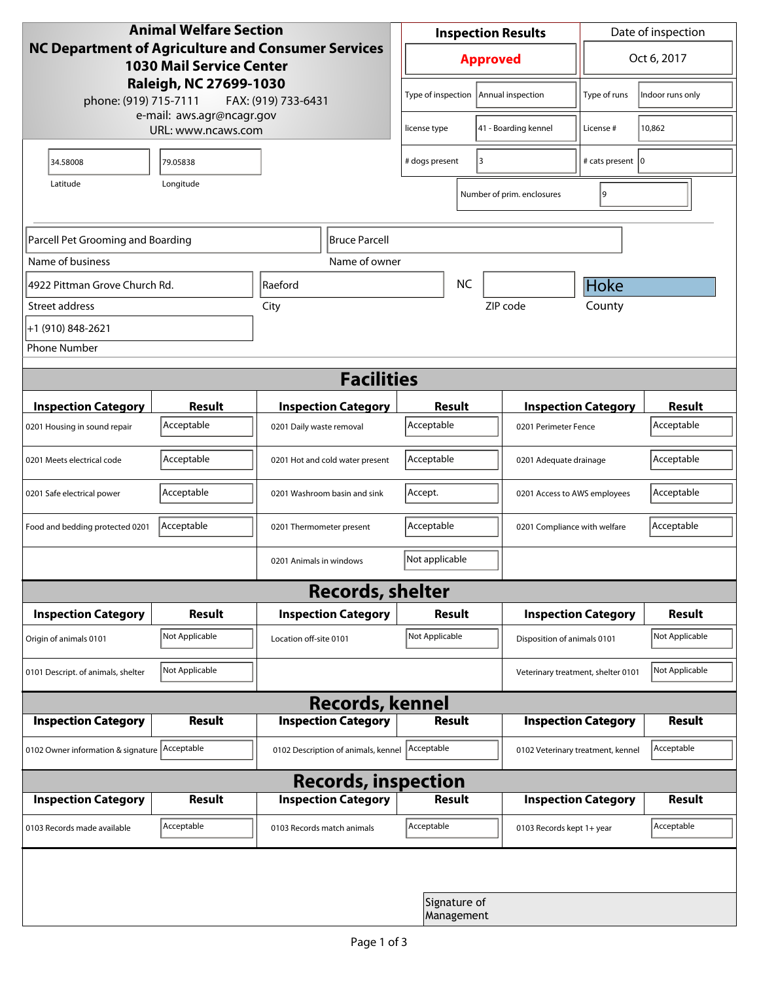| <b>Animal Welfare Section</b><br><b>NC Department of Agriculture and Consumer Services</b><br><b>1030 Mail Service Center</b><br>Raleigh, NC 27699-1030 |                                                 |                                     |                            | <b>Inspection Results</b> |                            |                                    | Date of inspection                |                |  |
|---------------------------------------------------------------------------------------------------------------------------------------------------------|-------------------------------------------------|-------------------------------------|----------------------------|---------------------------|----------------------------|------------------------------------|-----------------------------------|----------------|--|
|                                                                                                                                                         |                                                 |                                     |                            | <b>Approved</b>           |                            |                                    | Oct 6, 2017                       |                |  |
| phone: (919) 715-7111                                                                                                                                   | FAX: (919) 733-6431                             |                                     | Type of inspection         |                           | Annual inspection          | Type of runs                       | Indoor runs only                  |                |  |
|                                                                                                                                                         | e-mail: aws.agr@ncagr.gov<br>URL: www.ncaws.com |                                     | license type               |                           | 41 - Boarding kennel       | License #                          | 10,862                            |                |  |
| 34.58008                                                                                                                                                | 79.05838                                        |                                     | 3<br># dogs present        |                           |                            | # cats present   0                 |                                   |                |  |
| Latitude                                                                                                                                                | Longitude                                       |                                     |                            |                           |                            | Number of prim. enclosures         | 9                                 |                |  |
| <b>Bruce Parcell</b><br>Parcell Pet Grooming and Boarding                                                                                               |                                                 |                                     |                            |                           |                            |                                    |                                   |                |  |
| Name of business                                                                                                                                        |                                                 | Name of owner                       |                            |                           |                            |                                    |                                   |                |  |
| 4922 Pittman Grove Church Rd.                                                                                                                           | Raeford                                         |                                     |                            | <b>NC</b>                 |                            | Hoke                               |                                   |                |  |
| Street address                                                                                                                                          | City                                            |                                     |                            |                           |                            | ZIP code                           | County                            |                |  |
| +1 (910) 848-2621                                                                                                                                       |                                                 |                                     |                            |                           |                            |                                    |                                   |                |  |
| <b>Phone Number</b>                                                                                                                                     |                                                 |                                     |                            |                           |                            |                                    |                                   |                |  |
| <b>Facilities</b>                                                                                                                                       |                                                 |                                     |                            |                           |                            |                                    |                                   |                |  |
| <b>Inspection Category</b>                                                                                                                              | <b>Result</b>                                   |                                     | <b>Inspection Category</b> | Result                    |                            |                                    | <b>Inspection Category</b>        |                |  |
| 0201 Housing in sound repair                                                                                                                            | Acceptable                                      | 0201 Daily waste removal            |                            | Acceptable                |                            |                                    | 0201 Perimeter Fence              |                |  |
| 0201 Meets electrical code                                                                                                                              | Acceptable                                      | 0201 Hot and cold water present     | Acceptable                 |                           |                            | 0201 Adequate drainage             |                                   |                |  |
| 0201 Safe electrical power                                                                                                                              | Acceptable                                      | 0201 Washroom basin and sink        |                            | Accept.                   |                            |                                    | 0201 Access to AWS employees      |                |  |
| Food and bedding protected 0201                                                                                                                         | Acceptable                                      | 0201 Thermometer present            |                            | Acceptable                |                            |                                    | 0201 Compliance with welfare      |                |  |
|                                                                                                                                                         |                                                 | 0201 Animals in windows             |                            | Not applicable            |                            |                                    |                                   |                |  |
| <b>Records, shelter</b>                                                                                                                                 |                                                 |                                     |                            |                           |                            |                                    |                                   |                |  |
| <b>Inspection Category</b>                                                                                                                              | Result                                          |                                     | <b>Inspection Category</b> | Result                    |                            |                                    | <b>Inspection Category</b>        | <b>Result</b>  |  |
| Origin of animals 0101                                                                                                                                  | Not Applicable                                  | Location off-site 0101              |                            | Not Applicable            |                            |                                    | Disposition of animals 0101       |                |  |
| 0101 Descript. of animals, shelter                                                                                                                      | Not Applicable                                  |                                     |                            |                           |                            | Veterinary treatment, shelter 0101 |                                   | Not Applicable |  |
| <b>Records, kennel</b>                                                                                                                                  |                                                 |                                     |                            |                           |                            |                                    |                                   |                |  |
| <b>Inspection Category</b>                                                                                                                              | Result                                          |                                     | <b>Inspection Category</b> |                           | <b>Result</b>              |                                    | <b>Inspection Category</b>        | Result         |  |
| 0102 Owner information & signature Acceptable                                                                                                           |                                                 | 0102 Description of animals, kennel |                            | Acceptable                |                            |                                    | 0102 Veterinary treatment, kennel |                |  |
| <b>Records, inspection</b>                                                                                                                              |                                                 |                                     |                            |                           |                            |                                    |                                   |                |  |
| <b>Inspection Category</b>                                                                                                                              | <b>Result</b>                                   |                                     | <b>Inspection Category</b> |                           | Result                     |                                    | <b>Inspection Category</b>        | <b>Result</b>  |  |
| 0103 Records made available                                                                                                                             | Acceptable                                      | 0103 Records match animals          |                            | Acceptable                |                            | 0103 Records kept 1+ year          |                                   | Acceptable     |  |
|                                                                                                                                                         |                                                 |                                     |                            |                           |                            |                                    |                                   |                |  |
|                                                                                                                                                         |                                                 |                                     |                            |                           | Signature of<br>Management |                                    |                                   |                |  |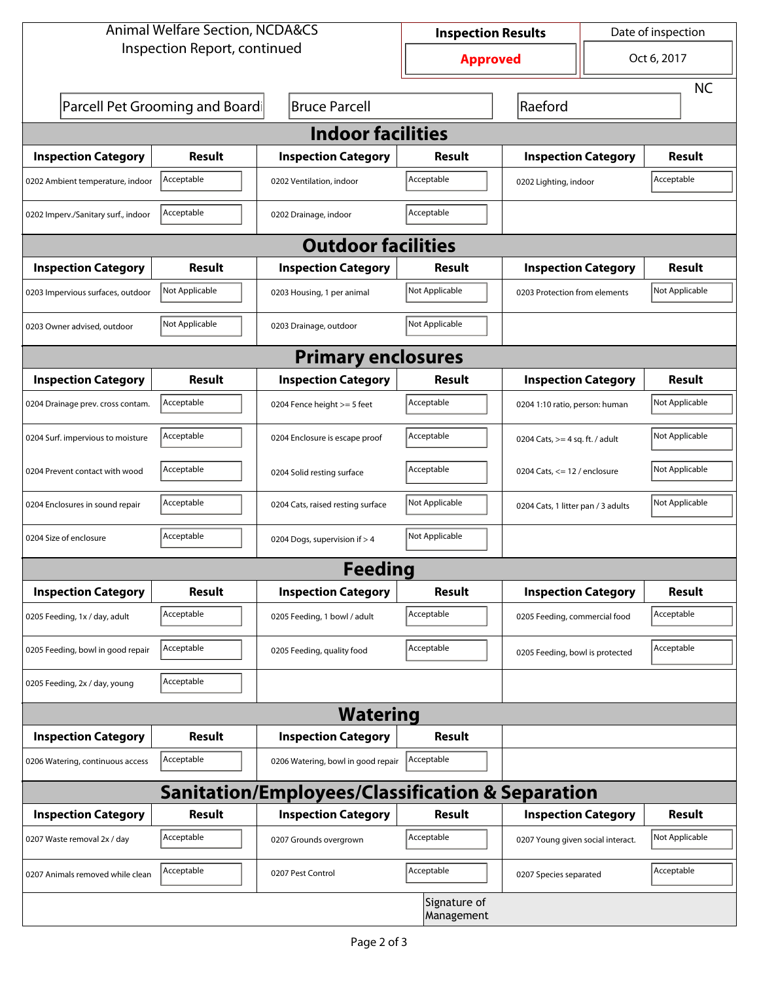| <b>Animal Welfare Section, NCDA&amp;CS</b>                  |                                 |                                    | <b>Inspection Results</b> |                                    | Date of inspection             |                |  |  |  |
|-------------------------------------------------------------|---------------------------------|------------------------------------|---------------------------|------------------------------------|--------------------------------|----------------|--|--|--|
| Inspection Report, continued                                |                                 |                                    | <b>Approved</b>           |                                    | Oct 6, 2017                    |                |  |  |  |
|                                                             |                                 |                                    |                           |                                    |                                | <b>NC</b>      |  |  |  |
|                                                             | Parcell Pet Grooming and Boardi | <b>Bruce Parcell</b>               |                           | Raeford                            |                                |                |  |  |  |
| <b>Indoor facilities</b>                                    |                                 |                                    |                           |                                    |                                |                |  |  |  |
| <b>Inspection Category</b>                                  | Result                          | <b>Inspection Category</b>         | Result                    | <b>Inspection Category</b>         |                                | Result         |  |  |  |
| 0202 Ambient temperature, indoor                            | Acceptable                      | 0202 Ventilation, indoor           | Acceptable                | 0202 Lighting, indoor              |                                | Acceptable     |  |  |  |
| 0202 Imperv./Sanitary surf., indoor                         | Acceptable                      | 0202 Drainage, indoor              | Acceptable                |                                    |                                |                |  |  |  |
| <b>Outdoor facilities</b>                                   |                                 |                                    |                           |                                    |                                |                |  |  |  |
| <b>Inspection Category</b>                                  | Result                          | <b>Inspection Category</b>         | Result                    | <b>Inspection Category</b>         |                                | Result         |  |  |  |
| 0203 Impervious surfaces, outdoor                           | Not Applicable                  | 0203 Housing, 1 per animal         | Not Applicable            | 0203 Protection from elements      |                                | Not Applicable |  |  |  |
| 0203 Owner advised, outdoor                                 | Not Applicable                  | 0203 Drainage, outdoor             | Not Applicable            |                                    |                                |                |  |  |  |
| <b>Primary enclosures</b>                                   |                                 |                                    |                           |                                    |                                |                |  |  |  |
| <b>Inspection Category</b>                                  | Result                          | <b>Inspection Category</b>         | Result                    | <b>Inspection Category</b>         |                                | Result         |  |  |  |
| 0204 Drainage prev. cross contam.                           | Acceptable                      | 0204 Fence height >= 5 feet        | Acceptable                |                                    | 0204 1:10 ratio, person: human |                |  |  |  |
| 0204 Surf. impervious to moisture                           | Acceptable                      | 0204 Enclosure is escape proof     | Acceptable                | 0204 Cats, $>=$ 4 sq. ft. / adult  | Not Applicable                 |                |  |  |  |
| 0204 Prevent contact with wood                              | Acceptable                      | 0204 Solid resting surface         | Acceptable                | 0204 Cats, $<= 12$ / enclosure     |                                | Not Applicable |  |  |  |
| 0204 Enclosures in sound repair                             | Acceptable                      | 0204 Cats, raised resting surface  | Not Applicable            | 0204 Cats, 1 litter pan / 3 adults |                                | Not Applicable |  |  |  |
| 0204 Size of enclosure                                      | Acceptable                      | 0204 Dogs, supervision if > 4      | Not Applicable            |                                    |                                |                |  |  |  |
|                                                             |                                 | Feeding                            |                           |                                    |                                |                |  |  |  |
| <b>Inspection Category</b>                                  | <b>Result</b>                   | <b>Inspection Category</b>         | <b>Result</b>             | <b>Inspection Category</b>         |                                | <b>Result</b>  |  |  |  |
| 0205 Feeding, 1x / day, adult                               | Acceptable                      | 0205 Feeding, 1 bowl / adult       | Acceptable                | 0205 Feeding, commercial food      |                                | Acceptable     |  |  |  |
| 0205 Feeding, bowl in good repair                           | Acceptable                      | 0205 Feeding, quality food         | Acceptable                | 0205 Feeding, bowl is protected    |                                | Acceptable     |  |  |  |
| 0205 Feeding, 2x / day, young                               | Acceptable                      |                                    |                           |                                    |                                |                |  |  |  |
| <b>Watering</b>                                             |                                 |                                    |                           |                                    |                                |                |  |  |  |
| <b>Inspection Category</b>                                  | <b>Result</b>                   | <b>Inspection Category</b>         | <b>Result</b>             |                                    |                                |                |  |  |  |
| 0206 Watering, continuous access                            | Acceptable                      | 0206 Watering, bowl in good repair | Acceptable                |                                    |                                |                |  |  |  |
| <b>Sanitation/Employees/Classification &amp; Separation</b> |                                 |                                    |                           |                                    |                                |                |  |  |  |
| <b>Inspection Category</b>                                  | <b>Result</b>                   | <b>Inspection Category</b>         | Result                    | <b>Inspection Category</b>         |                                | <b>Result</b>  |  |  |  |
| 0207 Waste removal 2x / day                                 | Acceptable                      | 0207 Grounds overgrown             | Acceptable                | 0207 Young given social interact.  |                                | Not Applicable |  |  |  |
| 0207 Animals removed while clean                            | Acceptable                      | 0207 Pest Control                  | Acceptable                | 0207 Species separated             |                                | Acceptable     |  |  |  |
| Signature of<br>Management                                  |                                 |                                    |                           |                                    |                                |                |  |  |  |